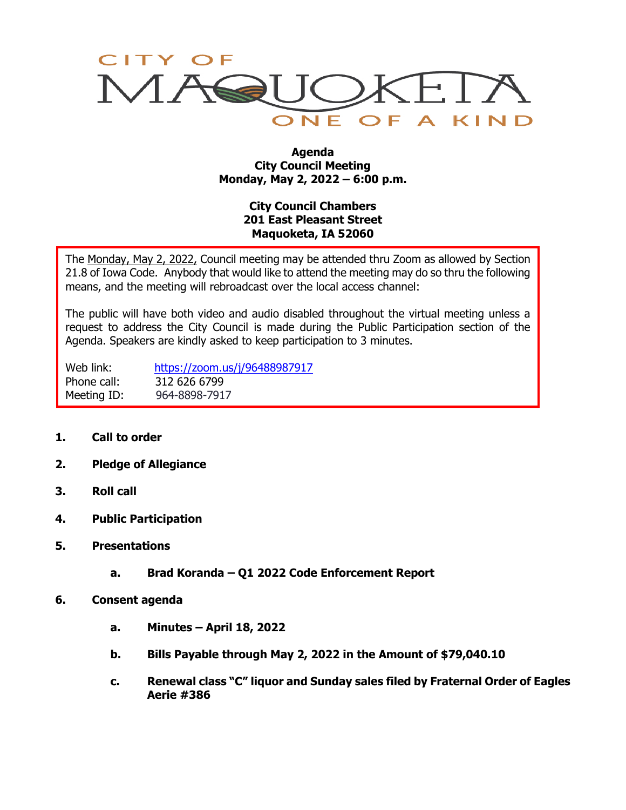

#### **Agenda City Council Meeting Monday, May 2, 2022 – 6:00 p.m.**

# **City Council Chambers 201 East Pleasant Street Maquoketa, IA 52060**

The Monday, May 2, 2022, Council meeting may be attended thru Zoom as allowed by Section 21.8 of Iowa Code. Anybody that would like to attend the meeting may do so thru the following means, and the meeting will rebroadcast over the local access channel:

The public will have both video and audio disabled throughout the virtual meeting unless a request to address the City Council is made during the Public Participation section of the Agenda. Speakers are kindly asked to keep participation to 3 minutes.

Web link: <https://zoom.us/j/96488987917> Phone call: 312 626 6799 Meeting ID: 964-8898-7917

- **1. Call to order**
- **2. Pledge of Allegiance**
- **3. Roll call**
- **4. Public Participation**
- **5. Presentations**
	- **a. Brad Koranda – Q1 2022 Code Enforcement Report**
- **6. Consent agenda**
	- **a. Minutes – April 18, 2022**
	- **b. Bills Payable through May 2, 2022 in the Amount of \$79,040.10**
	- **c. Renewal class "C" liquor and Sunday sales filed by Fraternal Order of Eagles Aerie #386**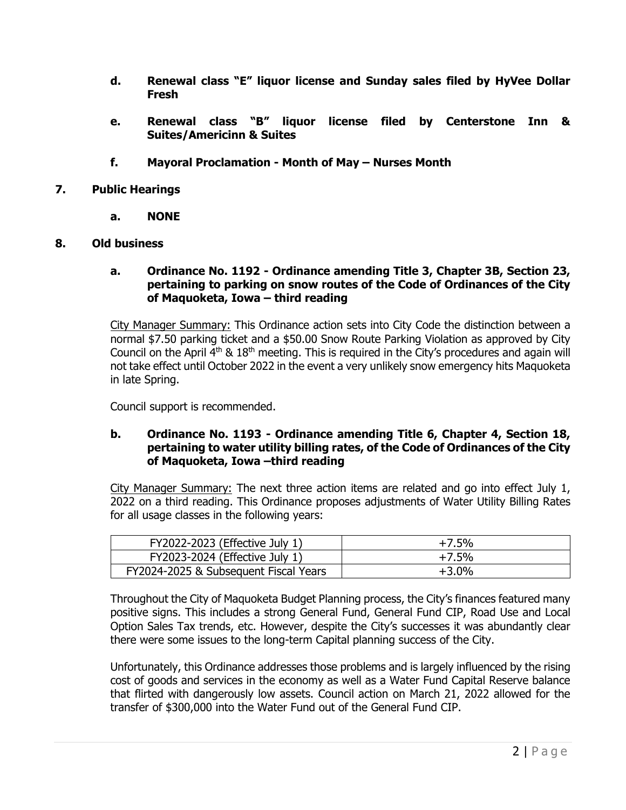- **d. Renewal class "E" liquor license and Sunday sales filed by HyVee Dollar Fresh**
- **e. Renewal class "B" liquor license filed by Centerstone Inn & Suites/Americinn & Suites**
- **f. Mayoral Proclamation - Month of May – Nurses Month**
- **7. Public Hearings**
	- **a. NONE**
- **8. Old business**

#### **a. Ordinance No. 1192 - Ordinance amending Title 3, Chapter 3B, Section 23, pertaining to parking on snow routes of the Code of Ordinances of the City of Maquoketa, Iowa – third reading**

City Manager Summary: This Ordinance action sets into City Code the distinction between a normal \$7.50 parking ticket and a \$50.00 Snow Route Parking Violation as approved by City Council on the April  $4<sup>th</sup>$  &  $18<sup>th</sup>$  meeting. This is required in the City's procedures and again will not take effect until October 2022 in the event a very unlikely snow emergency hits Maquoketa in late Spring.

Council support is recommended.

# **b. Ordinance No. 1193 - Ordinance amending Title 6, Chapter 4, Section 18, pertaining to water utility billing rates, of the Code of Ordinances of the City of Maquoketa, Iowa –third reading**

City Manager Summary: The next three action items are related and go into effect July 1, 2022 on a third reading. This Ordinance proposes adjustments of Water Utility Billing Rates for all usage classes in the following years:

| FY2022-2023 (Effective July 1)        | $+7.5%$ |
|---------------------------------------|---------|
| FY2023-2024 (Effective July 1)        | $+7.5%$ |
| FY2024-2025 & Subsequent Fiscal Years | $+3.0%$ |

Throughout the City of Maquoketa Budget Planning process, the City's finances featured many positive signs. This includes a strong General Fund, General Fund CIP, Road Use and Local Option Sales Tax trends, etc. However, despite the City's successes it was abundantly clear there were some issues to the long-term Capital planning success of the City.

Unfortunately, this Ordinance addresses those problems and is largely influenced by the rising cost of goods and services in the economy as well as a Water Fund Capital Reserve balance that flirted with dangerously low assets. Council action on March 21, 2022 allowed for the transfer of \$300,000 into the Water Fund out of the General Fund CIP.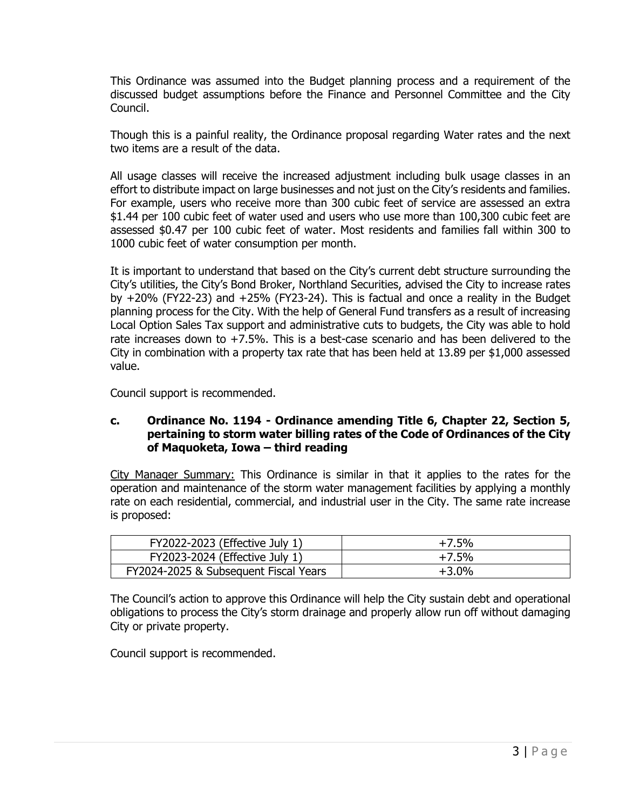This Ordinance was assumed into the Budget planning process and a requirement of the discussed budget assumptions before the Finance and Personnel Committee and the City Council.

Though this is a painful reality, the Ordinance proposal regarding Water rates and the next two items are a result of the data.

All usage classes will receive the increased adjustment including bulk usage classes in an effort to distribute impact on large businesses and not just on the City's residents and families. For example, users who receive more than 300 cubic feet of service are assessed an extra \$1.44 per 100 cubic feet of water used and users who use more than 100,300 cubic feet are assessed \$0.47 per 100 cubic feet of water. Most residents and families fall within 300 to 1000 cubic feet of water consumption per month.

It is important to understand that based on the City's current debt structure surrounding the City's utilities, the City's Bond Broker, Northland Securities, advised the City to increase rates by +20% (FY22-23) and +25% (FY23-24). This is factual and once a reality in the Budget planning process for the City. With the help of General Fund transfers as a result of increasing Local Option Sales Tax support and administrative cuts to budgets, the City was able to hold rate increases down to +7.5%. This is a best-case scenario and has been delivered to the City in combination with a property tax rate that has been held at 13.89 per \$1,000 assessed value.

Council support is recommended.

# **c. Ordinance No. 1194 - Ordinance amending Title 6, Chapter 22, Section 5, pertaining to storm water billing rates of the Code of Ordinances of the City of Maquoketa, Iowa – third reading**

City Manager Summary: This Ordinance is similar in that it applies to the rates for the operation and maintenance of the storm water management facilities by applying a monthly rate on each residential, commercial, and industrial user in the City. The same rate increase is proposed:

| FY2022-2023 (Effective July 1)        | $+7.5%$ |
|---------------------------------------|---------|
| FY2023-2024 (Effective July 1)        | $+7.5%$ |
| FY2024-2025 & Subsequent Fiscal Years | $+3.0%$ |

The Council's action to approve this Ordinance will help the City sustain debt and operational obligations to process the City's storm drainage and properly allow run off without damaging City or private property.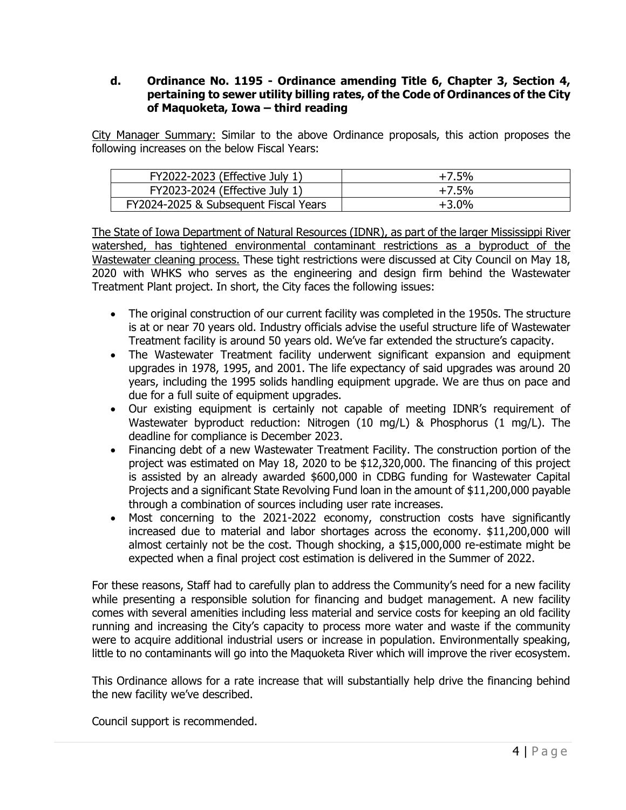# **d. Ordinance No. 1195 - Ordinance amending Title 6, Chapter 3, Section 4, pertaining to sewer utility billing rates, of the Code of Ordinances of the City of Maquoketa, Iowa – third reading**

City Manager Summary: Similar to the above Ordinance proposals, this action proposes the following increases on the below Fiscal Years:

| FY2022-2023 (Effective July 1)        | $+7.5%$ |
|---------------------------------------|---------|
| FY2023-2024 (Effective July 1)        | $+7.5%$ |
| FY2024-2025 & Subsequent Fiscal Years | $+3.0%$ |

The State of Iowa Department of Natural Resources (IDNR), as part of the larger Mississippi River watershed, has tightened environmental contaminant restrictions as a byproduct of the Wastewater cleaning process. These tight restrictions were discussed at City Council on May 18, 2020 with WHKS who serves as the engineering and design firm behind the Wastewater Treatment Plant project. In short, the City faces the following issues:

- The original construction of our current facility was completed in the 1950s. The structure is at or near 70 years old. Industry officials advise the useful structure life of Wastewater Treatment facility is around 50 years old. We've far extended the structure's capacity.
- The Wastewater Treatment facility underwent significant expansion and equipment upgrades in 1978, 1995, and 2001. The life expectancy of said upgrades was around 20 years, including the 1995 solids handling equipment upgrade. We are thus on pace and due for a full suite of equipment upgrades.
- Our existing equipment is certainly not capable of meeting IDNR's requirement of Wastewater byproduct reduction: Nitrogen (10 mg/L) & Phosphorus (1 mg/L). The deadline for compliance is December 2023.
- Financing debt of a new Wastewater Treatment Facility. The construction portion of the project was estimated on May 18, 2020 to be \$12,320,000. The financing of this project is assisted by an already awarded \$600,000 in CDBG funding for Wastewater Capital Projects and a significant State Revolving Fund loan in the amount of \$11,200,000 payable through a combination of sources including user rate increases.
- Most concerning to the 2021-2022 economy, construction costs have significantly increased due to material and labor shortages across the economy. \$11,200,000 will almost certainly not be the cost. Though shocking, a \$15,000,000 re-estimate might be expected when a final project cost estimation is delivered in the Summer of 2022.

For these reasons, Staff had to carefully plan to address the Community's need for a new facility while presenting a responsible solution for financing and budget management. A new facility comes with several amenities including less material and service costs for keeping an old facility running and increasing the City's capacity to process more water and waste if the community were to acquire additional industrial users or increase in population. Environmentally speaking, little to no contaminants will go into the Maquoketa River which will improve the river ecosystem.

This Ordinance allows for a rate increase that will substantially help drive the financing behind the new facility we've described.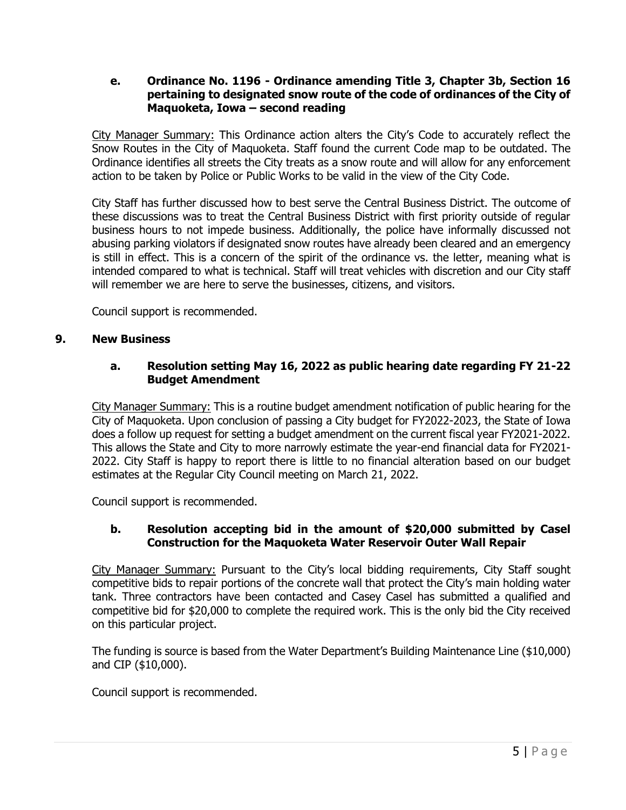### **e. Ordinance No. 1196 - Ordinance amending Title 3, Chapter 3b, Section 16 pertaining to designated snow route of the code of ordinances of the City of Maquoketa, Iowa – second reading**

City Manager Summary: This Ordinance action alters the City's Code to accurately reflect the Snow Routes in the City of Maquoketa. Staff found the current Code map to be outdated. The Ordinance identifies all streets the City treats as a snow route and will allow for any enforcement action to be taken by Police or Public Works to be valid in the view of the City Code.

City Staff has further discussed how to best serve the Central Business District. The outcome of these discussions was to treat the Central Business District with first priority outside of regular business hours to not impede business. Additionally, the police have informally discussed not abusing parking violators if designated snow routes have already been cleared and an emergency is still in effect. This is a concern of the spirit of the ordinance vs. the letter, meaning what is intended compared to what is technical. Staff will treat vehicles with discretion and our City staff will remember we are here to serve the businesses, citizens, and visitors.

Council support is recommended.

### **9. New Business**

# **a. Resolution setting May 16, 2022 as public hearing date regarding FY 21-22 Budget Amendment**

City Manager Summary: This is a routine budget amendment notification of public hearing for the City of Maquoketa. Upon conclusion of passing a City budget for FY2022-2023, the State of Iowa does a follow up request for setting a budget amendment on the current fiscal year FY2021-2022. This allows the State and City to more narrowly estimate the year-end financial data for FY2021- 2022. City Staff is happy to report there is little to no financial alteration based on our budget estimates at the Regular City Council meeting on March 21, 2022.

Council support is recommended.

# **b. Resolution accepting bid in the amount of \$20,000 submitted by Casel Construction for the Maquoketa Water Reservoir Outer Wall Repair**

City Manager Summary: Pursuant to the City's local bidding requirements, City Staff sought competitive bids to repair portions of the concrete wall that protect the City's main holding water tank. Three contractors have been contacted and Casey Casel has submitted a qualified and competitive bid for \$20,000 to complete the required work. This is the only bid the City received on this particular project.

The funding is source is based from the Water Department's Building Maintenance Line (\$10,000) and CIP (\$10,000).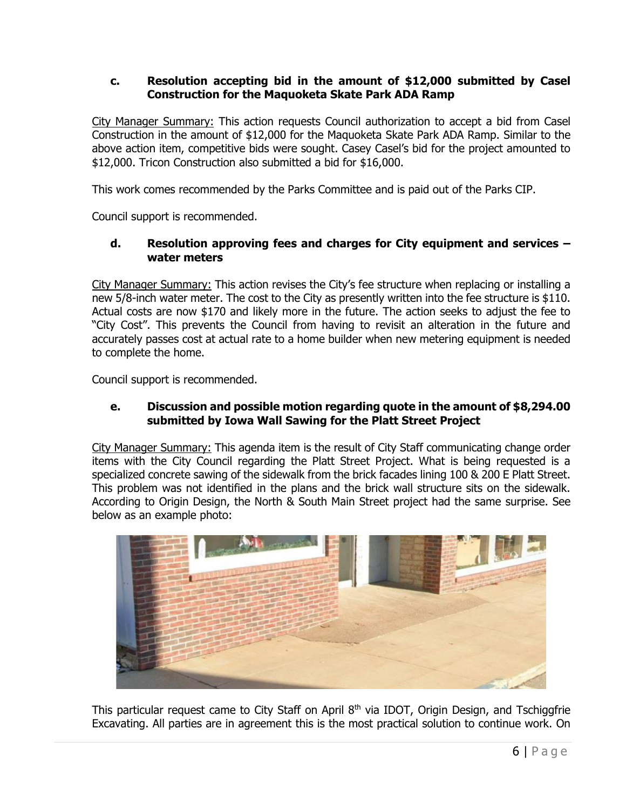# **c. Resolution accepting bid in the amount of \$12,000 submitted by Casel Construction for the Maquoketa Skate Park ADA Ramp**

City Manager Summary: This action requests Council authorization to accept a bid from Casel Construction in the amount of \$12,000 for the Maquoketa Skate Park ADA Ramp. Similar to the above action item, competitive bids were sought. Casey Casel's bid for the project amounted to \$12,000. Tricon Construction also submitted a bid for \$16,000.

This work comes recommended by the Parks Committee and is paid out of the Parks CIP.

Council support is recommended.

# **d. Resolution approving fees and charges for City equipment and services – water meters**

City Manager Summary: This action revises the City's fee structure when replacing or installing a new 5/8-inch water meter. The cost to the City as presently written into the fee structure is \$110. Actual costs are now \$170 and likely more in the future. The action seeks to adjust the fee to "City Cost". This prevents the Council from having to revisit an alteration in the future and accurately passes cost at actual rate to a home builder when new metering equipment is needed to complete the home.

Council support is recommended.

### **e. Discussion and possible motion regarding quote in the amount of \$8,294.00 submitted by Iowa Wall Sawing for the Platt Street Project**

City Manager Summary: This agenda item is the result of City Staff communicating change order items with the City Council regarding the Platt Street Project. What is being requested is a specialized concrete sawing of the sidewalk from the brick facades lining 100 & 200 E Platt Street. This problem was not identified in the plans and the brick wall structure sits on the sidewalk. According to Origin Design, the North & South Main Street project had the same surprise. See below as an example photo:



This particular request came to City Staff on April 8<sup>th</sup> via IDOT, Origin Design, and Tschiggfrie Excavating. All parties are in agreement this is the most practical solution to continue work. On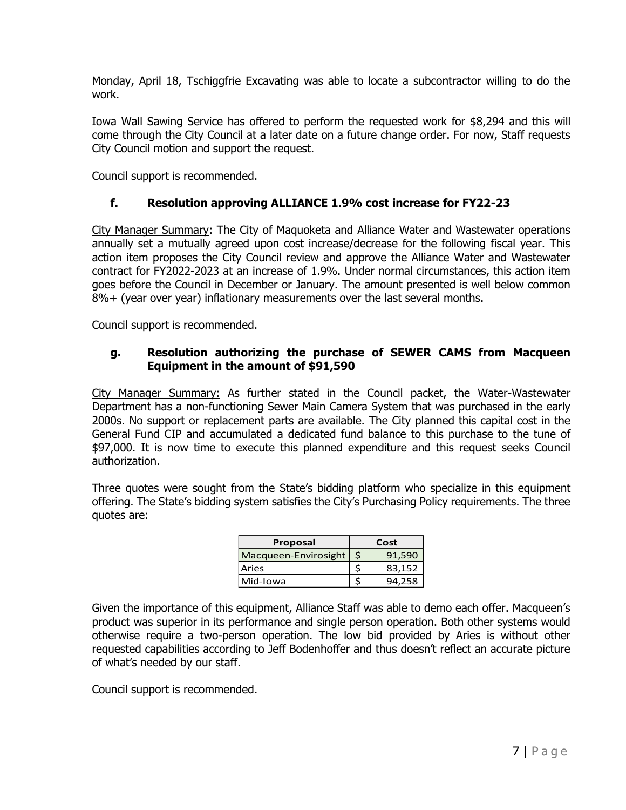Monday, April 18, Tschiggfrie Excavating was able to locate a subcontractor willing to do the work.

Iowa Wall Sawing Service has offered to perform the requested work for \$8,294 and this will come through the City Council at a later date on a future change order. For now, Staff requests City Council motion and support the request.

Council support is recommended.

# **f. Resolution approving ALLIANCE 1.9% cost increase for FY22-23**

City Manager Summary: The City of Maquoketa and Alliance Water and Wastewater operations annually set a mutually agreed upon cost increase/decrease for the following fiscal year. This action item proposes the City Council review and approve the Alliance Water and Wastewater contract for FY2022-2023 at an increase of 1.9%. Under normal circumstances, this action item goes before the Council in December or January. The amount presented is well below common 8%+ (year over year) inflationary measurements over the last several months.

Council support is recommended.

# **g. Resolution authorizing the purchase of SEWER CAMS from Macqueen Equipment in the amount of \$91,590**

City Manager Summary: As further stated in the Council packet, the Water-Wastewater Department has a non-functioning Sewer Main Camera System that was purchased in the early 2000s. No support or replacement parts are available. The City planned this capital cost in the General Fund CIP and accumulated a dedicated fund balance to this purchase to the tune of \$97,000. It is now time to execute this planned expenditure and this request seeks Council authorization.

Three quotes were sought from the State's bidding platform who specialize in this equipment offering. The State's bidding system satisfies the City's Purchasing Policy requirements. The three quotes are:

| Proposal             |              | Cost   |  |
|----------------------|--------------|--------|--|
| Macqueen-Envirosight | $\mathsf{S}$ | 91,590 |  |
| Aries                |              | 83,152 |  |
| Mid-Iowa             |              | 94.258 |  |

Given the importance of this equipment, Alliance Staff was able to demo each offer. Macqueen's product was superior in its performance and single person operation. Both other systems would otherwise require a two-person operation. The low bid provided by Aries is without other requested capabilities according to Jeff Bodenhoffer and thus doesn't reflect an accurate picture of what's needed by our staff.